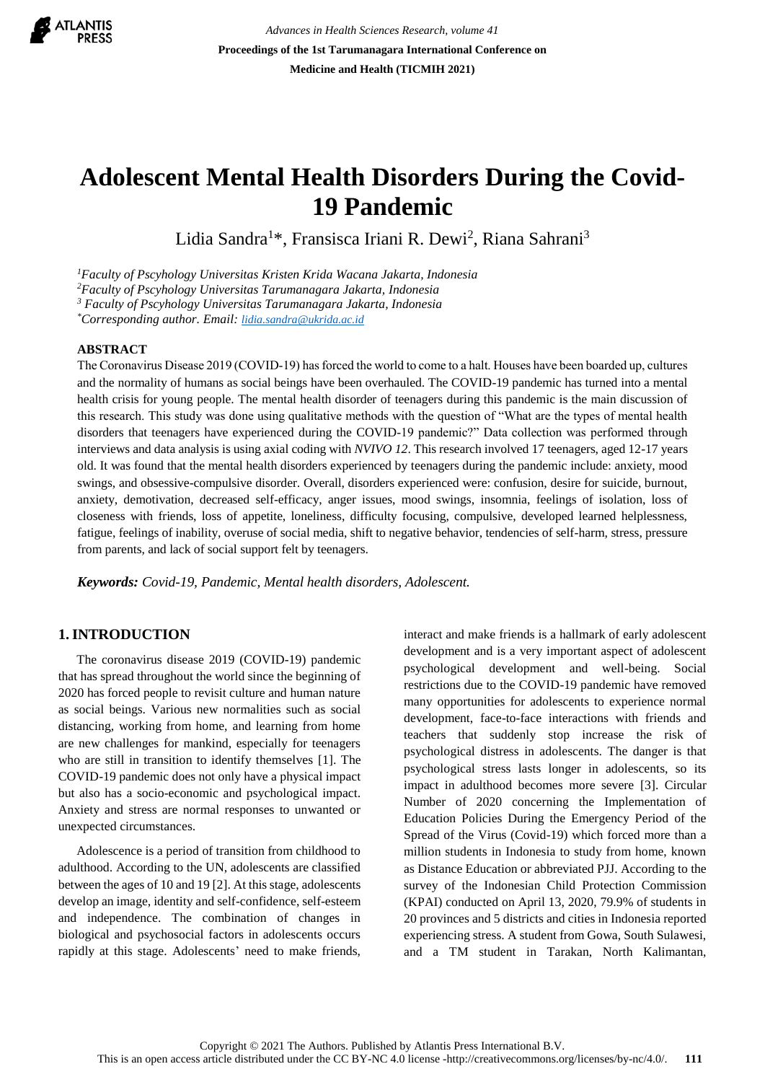

# **Adolescent Mental Health Disorders During the Covid-19 Pandemic**

Lidia Sandra<sup>1\*</sup>, Fransisca Iriani R. Dewi<sup>2</sup>, Riana Sahrani<sup>3</sup>

*<sup>1</sup>Faculty of Pscyhology Universitas Kristen Krida Wacana Jakarta, Indonesia*

*<sup>2</sup>Faculty of Pscyhology Universitas Tarumanagara Jakarta, Indonesia*

*<sup>3</sup> Faculty of Pscyhology Universitas Tarumanagara Jakarta, Indonesia*

*\*Corresponding author. Email: [lidia.sandra@ukrida.ac.id](mailto:lidia.sandra@ukrida.ac.id)*

#### **ABSTRACT**

The Coronavirus Disease 2019 (COVID‐19) has forced the world to come to a halt. Houses have been boarded up, cultures and the normality of humans as social beings have been overhauled. The COVID-19 pandemic has turned into a mental health crisis for young people. The mental health disorder of teenagers during this pandemic is the main discussion of this research. This study was done using qualitative methods with the question of "What are the types of mental health disorders that teenagers have experienced during the COVID-19 pandemic?" Data collection was performed through interviews and data analysis is using axial coding with *NVIVO 12*. This research involved 17 teenagers, aged 12-17 years old. It was found that the mental health disorders experienced by teenagers during the pandemic include: anxiety, mood swings, and obsessive-compulsive disorder. Overall, disorders experienced were: confusion, desire for suicide, burnout, anxiety, demotivation, decreased self-efficacy, anger issues, mood swings, insomnia, feelings of isolation, loss of closeness with friends, loss of appetite, loneliness, difficulty focusing, compulsive, developed learned helplessness, fatigue, feelings of inability, overuse of social media, shift to negative behavior, tendencies of self-harm, stress, pressure from parents, and lack of social support felt by teenagers.

*Keywords: Covid-19, Pandemic, Mental health disorders, Adolescent.*

# **1.INTRODUCTION**

The coronavirus disease 2019 (COVID-19) pandemic that has spread throughout the world since the beginning of 2020 has forced people to revisit culture and human nature as social beings. Various new normalities such as social distancing, working from home, and learning from home are new challenges for mankind, especially for teenagers who are still in transition to identify themselves [1]. The COVID-19 pandemic does not only have a physical impact but also has a socio-economic and psychological impact. Anxiety and stress are normal responses to unwanted or unexpected circumstances.

Adolescence is a period of transition from childhood to adulthood. According to the UN, adolescents are classified between the ages of 10 and 19 [2]. At this stage, adolescents develop an image, identity and self-confidence, self-esteem and independence. The combination of changes in biological and psychosocial factors in adolescents occurs rapidly at this stage. Adolescents' need to make friends, interact and make friends is a hallmark of early adolescent development and is a very important aspect of adolescent psychological development and well-being. Social restrictions due to the COVID-19 pandemic have removed many opportunities for adolescents to experience normal development, face-to-face interactions with friends and teachers that suddenly stop increase the risk of psychological distress in adolescents. The danger is that psychological stress lasts longer in adolescents, so its impact in adulthood becomes more severe [3]. Circular Number of 2020 concerning the Implementation of Education Policies During the Emergency Period of the Spread of the Virus (Covid-19) which forced more than a million students in Indonesia to study from home, known as Distance Education or abbreviated PJJ. According to the survey of the Indonesian Child Protection Commission (KPAI) conducted on April 13, 2020, 79.9% of students in 20 provinces and 5 districts and cities in Indonesia reported experiencing stress. A student from Gowa, South Sulawesi, and a TM student in Tarakan, North Kalimantan,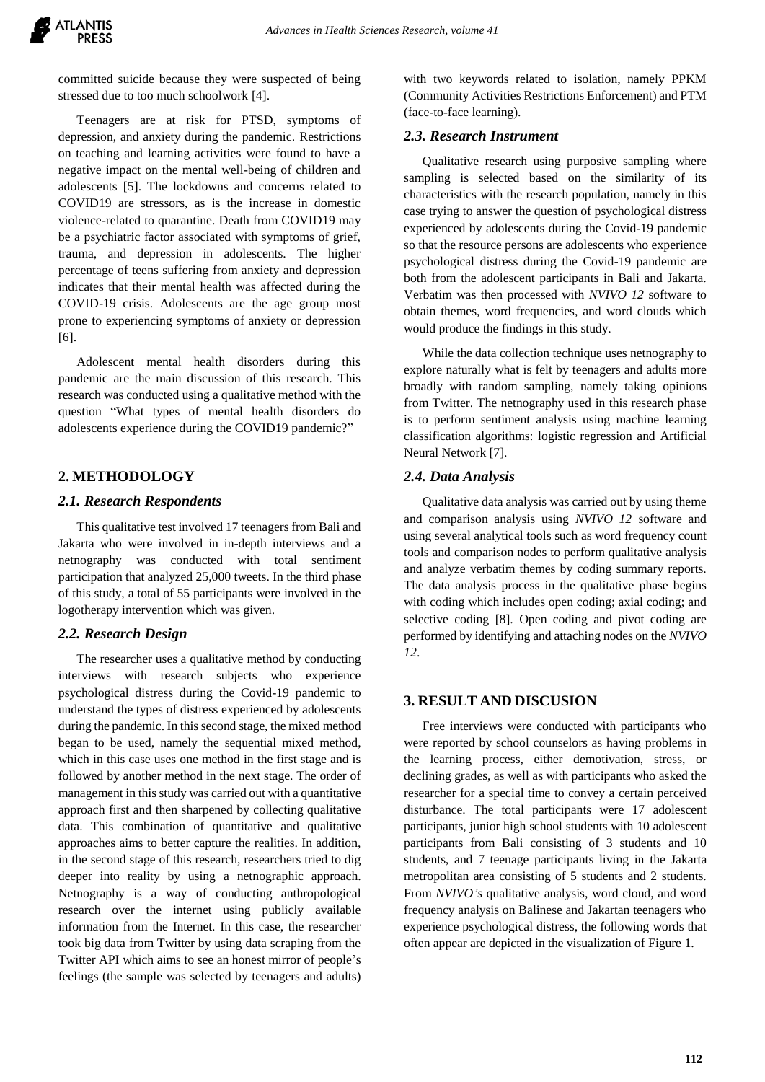committed suicide because they were suspected of being stressed due to too much schoolwork [4].

Teenagers are at risk for PTSD, symptoms of depression, and anxiety during the pandemic. Restrictions on teaching and learning activities were found to have a negative impact on the mental well-being of children and adolescents [5]. The lockdowns and concerns related to COVID19 are stressors, as is the increase in domestic violence-related to quarantine. Death from COVID19 may be a psychiatric factor associated with symptoms of grief, trauma, and depression in adolescents. The higher percentage of teens suffering from anxiety and depression indicates that their mental health was affected during the COVID-19 crisis. Adolescents are the age group most prone to experiencing symptoms of anxiety or depression [6].

Adolescent mental health disorders during this pandemic are the main discussion of this research. This research was conducted using a qualitative method with the question "What types of mental health disorders do adolescents experience during the COVID19 pandemic?"

# **2. METHODOLOGY**

## *2.1. Research Respondents*

This qualitative test involved 17 teenagers from Bali and Jakarta who were involved in in-depth interviews and a netnography was conducted with total sentiment participation that analyzed 25,000 tweets. In the third phase of this study, a total of 55 participants were involved in the logotherapy intervention which was given.

## *2.2. Research Design*

The researcher uses a qualitative method by conducting interviews with research subjects who experience psychological distress during the Covid-19 pandemic to understand the types of distress experienced by adolescents during the pandemic. In this second stage, the mixed method began to be used, namely the sequential mixed method, which in this case uses one method in the first stage and is followed by another method in the next stage. The order of management in this study was carried out with a quantitative approach first and then sharpened by collecting qualitative data. This combination of quantitative and qualitative approaches aims to better capture the realities. In addition, in the second stage of this research, researchers tried to dig deeper into reality by using a netnographic approach. Netnography is a way of conducting anthropological research over the internet using publicly available information from the Internet. In this case, the researcher took big data from Twitter by using data scraping from the Twitter API which aims to see an honest mirror of people's feelings (the sample was selected by teenagers and adults) with two keywords related to isolation, namely PPKM (Community Activities Restrictions Enforcement) and PTM (face-to-face learning).

## *2.3. Research Instrument*

Qualitative research using purposive sampling where sampling is selected based on the similarity of its characteristics with the research population, namely in this case trying to answer the question of psychological distress experienced by adolescents during the Covid-19 pandemic so that the resource persons are adolescents who experience psychological distress during the Covid-19 pandemic are both from the adolescent participants in Bali and Jakarta. Verbatim was then processed with *NVIVO 12* software to obtain themes, word frequencies, and word clouds which would produce the findings in this study.

While the data collection technique uses netnography to explore naturally what is felt by teenagers and adults more broadly with random sampling, namely taking opinions from Twitter. The netnography used in this research phase is to perform sentiment analysis using machine learning classification algorithms: logistic regression and Artificial Neural Network [7].

## *2.4. Data Analysis*

Qualitative data analysis was carried out by using theme and comparison analysis using *NVIVO 12* software and using several analytical tools such as word frequency count tools and comparison nodes to perform qualitative analysis and analyze verbatim themes by coding summary reports. The data analysis process in the qualitative phase begins with coding which includes open coding; axial coding; and selective coding [8]. Open coding and pivot coding are performed by identifying and attaching nodes on the *NVIVO 12*.

# **3. RESULT AND DISCUSION**

Free interviews were conducted with participants who were reported by school counselors as having problems in the learning process, either demotivation, stress, or declining grades, as well as with participants who asked the researcher for a special time to convey a certain perceived disturbance. The total participants were 17 adolescent participants, junior high school students with 10 adolescent participants from Bali consisting of 3 students and 10 students, and 7 teenage participants living in the Jakarta metropolitan area consisting of 5 students and 2 students. From *NVIVO's* qualitative analysis, word cloud, and word frequency analysis on Balinese and Jakartan teenagers who experience psychological distress, the following words that often appear are depicted in the visualization of Figure 1.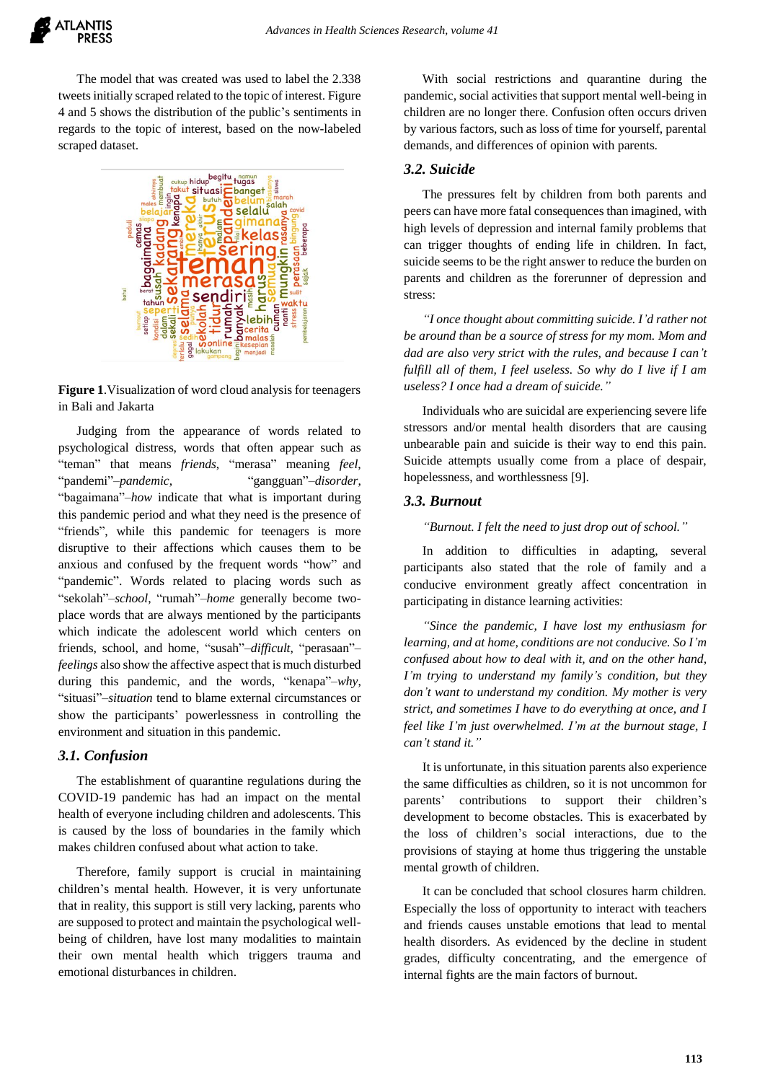

The model that was created was used to label the 2.338 tweets initially scraped related to the topic of interest. Figure 4 and 5 shows the distribution of the public's sentiments in regards to the topic of interest, based on the now-labeled scraped dataset.



**Figure 1**.Visualization of word cloud analysis for teenagers in Bali and Jakarta

Judging from the appearance of words related to psychological distress, words that often appear such as "teman" that means *friends*, "merasa" meaning *feel*, "pandemi"–*pandemic*, "gangguan"–*disorder*, "bagaimana"–*how* indicate that what is important during this pandemic period and what they need is the presence of "friends", while this pandemic for teenagers is more disruptive to their affections which causes them to be anxious and confused by the frequent words "how" and "pandemic". Words related to placing words such as "sekolah"–*school*, "rumah"–*home* generally become twoplace words that are always mentioned by the participants which indicate the adolescent world which centers on friends, school, and home, "susah"–*difficult*, "perasaan"– *feelings* also show the affective aspect that is much disturbed during this pandemic, and the words, "kenapa"–*why*, "situasi"–*situation* tend to blame external circumstances or show the participants' powerlessness in controlling the environment and situation in this pandemic.

#### *3.1. Confusion*

The establishment of quarantine regulations during the COVID-19 pandemic has had an impact on the mental health of everyone including children and adolescents. This is caused by the loss of boundaries in the family which makes children confused about what action to take.

Therefore, family support is crucial in maintaining children's mental health. However, it is very unfortunate that in reality, this support is still very lacking, parents who are supposed to protect and maintain the psychological wellbeing of children, have lost many modalities to maintain their own mental health which triggers trauma and emotional disturbances in children.

With social restrictions and quarantine during the pandemic, social activities that support mental well-being in children are no longer there. Confusion often occurs driven by various factors, such as loss of time for yourself, parental demands, and differences of opinion with parents.

#### *3.2. Suicide*

The pressures felt by children from both parents and peers can have more fatal consequences than imagined, with high levels of depression and internal family problems that can trigger thoughts of ending life in children. In fact, suicide seems to be the right answer to reduce the burden on parents and children as the forerunner of depression and stress:

*"I once thought about committing suicide. I'd rather not be around than be a source of stress for my mom. Mom and dad are also very strict with the rules, and because I can't fulfill all of them, I feel useless. So why do I live if I am useless? I once had a dream of suicide."*

Individuals who are suicidal are experiencing severe life stressors and/or mental health disorders that are causing unbearable pain and suicide is their way to end this pain. Suicide attempts usually come from a place of despair, hopelessness, and worthlessness [9].

#### *3.3. Burnout*

*"Burnout. I felt the need to just drop out of school."*

In addition to difficulties in adapting, several participants also stated that the role of family and a conducive environment greatly affect concentration in participating in distance learning activities:

*"Since the pandemic, I have lost my enthusiasm for learning, and at home, conditions are not conducive. So I'm confused about how to deal with it, and on the other hand, I'm trying to understand my family's condition, but they don't want to understand my condition. My mother is very strict, and sometimes I have to do everything at once, and I feel like I'm just overwhelmed. I'm at the burnout stage, I can't stand it."*

It is unfortunate, in this situation parents also experience the same difficulties as children, so it is not uncommon for parents' contributions to support their children's development to become obstacles. This is exacerbated by the loss of children's social interactions, due to the provisions of staying at home thus triggering the unstable mental growth of children.

It can be concluded that school closures harm children. Especially the loss of opportunity to interact with teachers and friends causes unstable emotions that lead to mental health disorders. As evidenced by the decline in student grades, difficulty concentrating, and the emergence of internal fights are the main factors of burnout.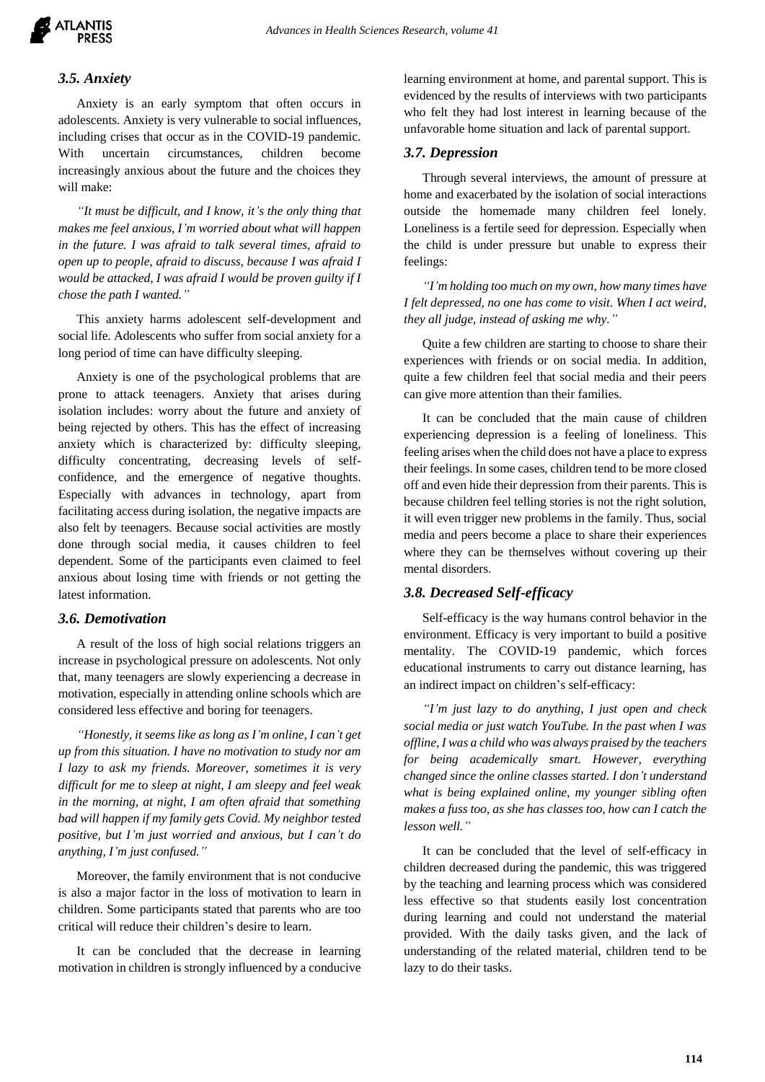

## *3.5. Anxiety*

Anxiety is an early symptom that often occurs in adolescents. Anxiety is very vulnerable to social influences, including crises that occur as in the COVID-19 pandemic. With uncertain circumstances, children become increasingly anxious about the future and the choices they will make:

*"It must be difficult, and I know, it's the only thing that makes me feel anxious, I'm worried about what will happen in the future. I was afraid to talk several times, afraid to open up to people, afraid to discuss, because I was afraid I would be attacked, I was afraid I would be proven guilty if I chose the path I wanted."*

This anxiety harms adolescent self-development and social life. Adolescents who suffer from social anxiety for a long period of time can have difficulty sleeping.

Anxiety is one of the psychological problems that are prone to attack teenagers. Anxiety that arises during isolation includes: worry about the future and anxiety of being rejected by others. This has the effect of increasing anxiety which is characterized by: difficulty sleeping, difficulty concentrating, decreasing levels of selfconfidence, and the emergence of negative thoughts. Especially with advances in technology, apart from facilitating access during isolation, the negative impacts are also felt by teenagers. Because social activities are mostly done through social media, it causes children to feel dependent. Some of the participants even claimed to feel anxious about losing time with friends or not getting the latest information.

## *3.6. Demotivation*

A result of the loss of high social relations triggers an increase in psychological pressure on adolescents. Not only that, many teenagers are slowly experiencing a decrease in motivation, especially in attending online schools which are considered less effective and boring for teenagers.

*"Honestly, it seems like as long as I'm online, I can't get up from this situation. I have no motivation to study nor am I lazy to ask my friends. Moreover, sometimes it is very difficult for me to sleep at night, I am sleepy and feel weak in the morning, at night, I am often afraid that something bad will happen if my family gets Covid. My neighbor tested positive, but I'm just worried and anxious, but I can't do anything, I'm just confused."*

Moreover, the family environment that is not conducive is also a major factor in the loss of motivation to learn in children. Some participants stated that parents who are too critical will reduce their children's desire to learn.

It can be concluded that the decrease in learning motivation in children is strongly influenced by a conducive learning environment at home, and parental support. This is evidenced by the results of interviews with two participants who felt they had lost interest in learning because of the unfavorable home situation and lack of parental support.

#### *3.7. Depression*

Through several interviews, the amount of pressure at home and exacerbated by the isolation of social interactions outside the homemade many children feel lonely. Loneliness is a fertile seed for depression. Especially when the child is under pressure but unable to express their feelings:

*"I'm holding too much on my own, how many times have I felt depressed, no one has come to visit. When I act weird, they all judge, instead of asking me why."*

Quite a few children are starting to choose to share their experiences with friends or on social media. In addition, quite a few children feel that social media and their peers can give more attention than their families.

It can be concluded that the main cause of children experiencing depression is a feeling of loneliness. This feeling arises when the child does not have a place to express their feelings. In some cases, children tend to be more closed off and even hide their depression from their parents. This is because children feel telling stories is not the right solution, it will even trigger new problems in the family. Thus, social media and peers become a place to share their experiences where they can be themselves without covering up their mental disorders.

## *3.8. Decreased Self-efficacy*

Self-efficacy is the way humans control behavior in the environment. Efficacy is very important to build a positive mentality. The COVID-19 pandemic, which forces educational instruments to carry out distance learning, has an indirect impact on children's self-efficacy:

*"I'm just lazy to do anything, I just open and check social media or just watch YouTube. In the past when I was offline, I was a child who was always praised by the teachers for being academically smart. However, everything changed since the online classes started. I don't understand what is being explained online, my younger sibling often makes a fuss too, as she has classes too, how can I catch the lesson well."*

It can be concluded that the level of self-efficacy in children decreased during the pandemic, this was triggered by the teaching and learning process which was considered less effective so that students easily lost concentration during learning and could not understand the material provided. With the daily tasks given, and the lack of understanding of the related material, children tend to be lazy to do their tasks.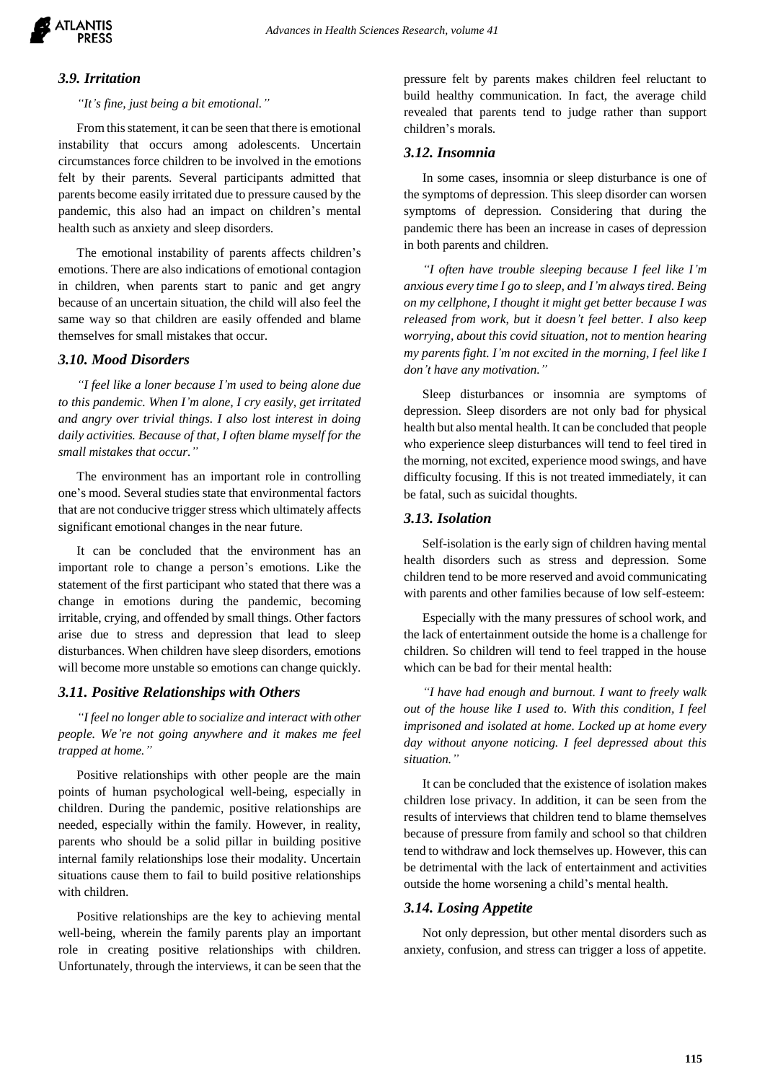

# *3.9. Irritation*

#### *"It's fine, just being a bit emotional."*

From this statement, it can be seen that there is emotional instability that occurs among adolescents. Uncertain circumstances force children to be involved in the emotions felt by their parents. Several participants admitted that parents become easily irritated due to pressure caused by the pandemic, this also had an impact on children's mental health such as anxiety and sleep disorders.

The emotional instability of parents affects children's emotions. There are also indications of emotional contagion in children, when parents start to panic and get angry because of an uncertain situation, the child will also feel the same way so that children are easily offended and blame themselves for small mistakes that occur.

#### *3.10. Mood Disorders*

*"I feel like a loner because I'm used to being alone due to this pandemic. When I'm alone, I cry easily, get irritated and angry over trivial things. I also lost interest in doing daily activities. Because of that, I often blame myself for the small mistakes that occur."*

The environment has an important role in controlling one's mood. Several studies state that environmental factors that are not conducive trigger stress which ultimately affects significant emotional changes in the near future.

It can be concluded that the environment has an important role to change a person's emotions. Like the statement of the first participant who stated that there was a change in emotions during the pandemic, becoming irritable, crying, and offended by small things. Other factors arise due to stress and depression that lead to sleep disturbances. When children have sleep disorders, emotions will become more unstable so emotions can change quickly.

#### *3.11. Positive Relationships with Others*

*"I feel no longer able to socialize and interact with other people. We're not going anywhere and it makes me feel trapped at home."*

Positive relationships with other people are the main points of human psychological well-being, especially in children. During the pandemic, positive relationships are needed, especially within the family. However, in reality, parents who should be a solid pillar in building positive internal family relationships lose their modality. Uncertain situations cause them to fail to build positive relationships with children.

Positive relationships are the key to achieving mental well-being, wherein the family parents play an important role in creating positive relationships with children. Unfortunately, through the interviews, it can be seen that the pressure felt by parents makes children feel reluctant to build healthy communication. In fact, the average child revealed that parents tend to judge rather than support children's morals.

#### *3.12. Insomnia*

In some cases, insomnia or sleep disturbance is one of the symptoms of depression. This sleep disorder can worsen symptoms of depression. Considering that during the pandemic there has been an increase in cases of depression in both parents and children.

*"I often have trouble sleeping because I feel like I'm anxious every time I go to sleep, and I'm always tired. Being on my cellphone, I thought it might get better because I was released from work, but it doesn't feel better. I also keep worrying, about this covid situation, not to mention hearing my parents fight. I'm not excited in the morning, I feel like I don't have any motivation."*

Sleep disturbances or insomnia are symptoms of depression. Sleep disorders are not only bad for physical health but also mental health. It can be concluded that people who experience sleep disturbances will tend to feel tired in the morning, not excited, experience mood swings, and have difficulty focusing. If this is not treated immediately, it can be fatal, such as suicidal thoughts.

#### *3.13. Isolation*

Self-isolation is the early sign of children having mental health disorders such as stress and depression. Some children tend to be more reserved and avoid communicating with parents and other families because of low self-esteem:

Especially with the many pressures of school work, and the lack of entertainment outside the home is a challenge for children. So children will tend to feel trapped in the house which can be bad for their mental health:

*"I have had enough and burnout. I want to freely walk out of the house like I used to. With this condition, I feel imprisoned and isolated at home. Locked up at home every day without anyone noticing. I feel depressed about this situation."*

It can be concluded that the existence of isolation makes children lose privacy. In addition, it can be seen from the results of interviews that children tend to blame themselves because of pressure from family and school so that children tend to withdraw and lock themselves up. However, this can be detrimental with the lack of entertainment and activities outside the home worsening a child's mental health.

## *3.14. Losing Appetite*

Not only depression, but other mental disorders such as anxiety, confusion, and stress can trigger a loss of appetite.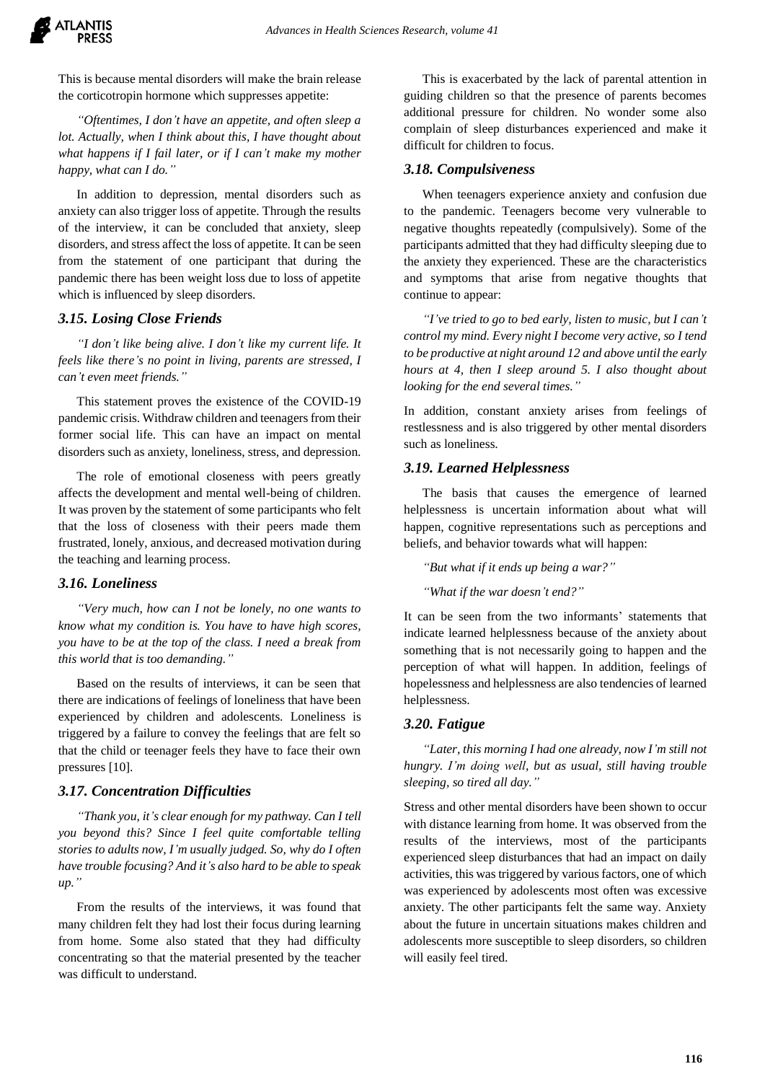

This is because mental disorders will make the brain release the corticotropin hormone which suppresses appetite:

*"Oftentimes, I don't have an appetite, and often sleep a lot. Actually, when I think about this, I have thought about what happens if I fail later, or if I can't make my mother happy, what can I do."*

In addition to depression, mental disorders such as anxiety can also trigger loss of appetite. Through the results of the interview, it can be concluded that anxiety, sleep disorders, and stress affect the loss of appetite. It can be seen from the statement of one participant that during the pandemic there has been weight loss due to loss of appetite which is influenced by sleep disorders.

## *3.15. Losing Close Friends*

*"I don't like being alive. I don't like my current life. It feels like there's no point in living, parents are stressed, I can't even meet friends."*

This statement proves the existence of the COVID-19 pandemic crisis. Withdraw children and teenagers from their former social life. This can have an impact on mental disorders such as anxiety, loneliness, stress, and depression.

The role of emotional closeness with peers greatly affects the development and mental well-being of children. It was proven by the statement of some participants who felt that the loss of closeness with their peers made them frustrated, lonely, anxious, and decreased motivation during the teaching and learning process.

## *3.16. Loneliness*

*"Very much, how can I not be lonely, no one wants to know what my condition is. You have to have high scores, you have to be at the top of the class. I need a break from this world that is too demanding."*

Based on the results of interviews, it can be seen that there are indications of feelings of loneliness that have been experienced by children and adolescents. Loneliness is triggered by a failure to convey the feelings that are felt so that the child or teenager feels they have to face their own pressures [10].

## *3.17. Concentration Difficulties*

*"Thank you, it's clear enough for my pathway. Can I tell you beyond this? Since I feel quite comfortable telling stories to adults now, I'm usually judged. So, why do I often have trouble focusing? And it's also hard to be able to speak up."*

From the results of the interviews, it was found that many children felt they had lost their focus during learning from home. Some also stated that they had difficulty concentrating so that the material presented by the teacher was difficult to understand.

This is exacerbated by the lack of parental attention in guiding children so that the presence of parents becomes additional pressure for children. No wonder some also complain of sleep disturbances experienced and make it difficult for children to focus.

#### *3.18. Compulsiveness*

When teenagers experience anxiety and confusion due to the pandemic. Teenagers become very vulnerable to negative thoughts repeatedly (compulsively). Some of the participants admitted that they had difficulty sleeping due to the anxiety they experienced. These are the characteristics and symptoms that arise from negative thoughts that continue to appear:

*"I've tried to go to bed early, listen to music, but I can't control my mind. Every night I become very active, so I tend to be productive at night around 12 and above until the early hours at 4, then I sleep around 5. I also thought about looking for the end several times."*

In addition, constant anxiety arises from feelings of restlessness and is also triggered by other mental disorders such as loneliness.

## *3.19. Learned Helplessness*

The basis that causes the emergence of learned helplessness is uncertain information about what will happen, cognitive representations such as perceptions and beliefs, and behavior towards what will happen:

*"But what if it ends up being a war?"*

*"What if the war doesn't end?"*

It can be seen from the two informants' statements that indicate learned helplessness because of the anxiety about something that is not necessarily going to happen and the perception of what will happen. In addition, feelings of hopelessness and helplessness are also tendencies of learned helplessness.

# *3.20. Fatigue*

*"Later, this morning I had one already, now I'm still not hungry. I'm doing well, but as usual, still having trouble sleeping, so tired all day."*

Stress and other mental disorders have been shown to occur with distance learning from home. It was observed from the results of the interviews, most of the participants experienced sleep disturbances that had an impact on daily activities, this was triggered by various factors, one of which was experienced by adolescents most often was excessive anxiety. The other participants felt the same way. Anxiety about the future in uncertain situations makes children and adolescents more susceptible to sleep disorders, so children will easily feel tired.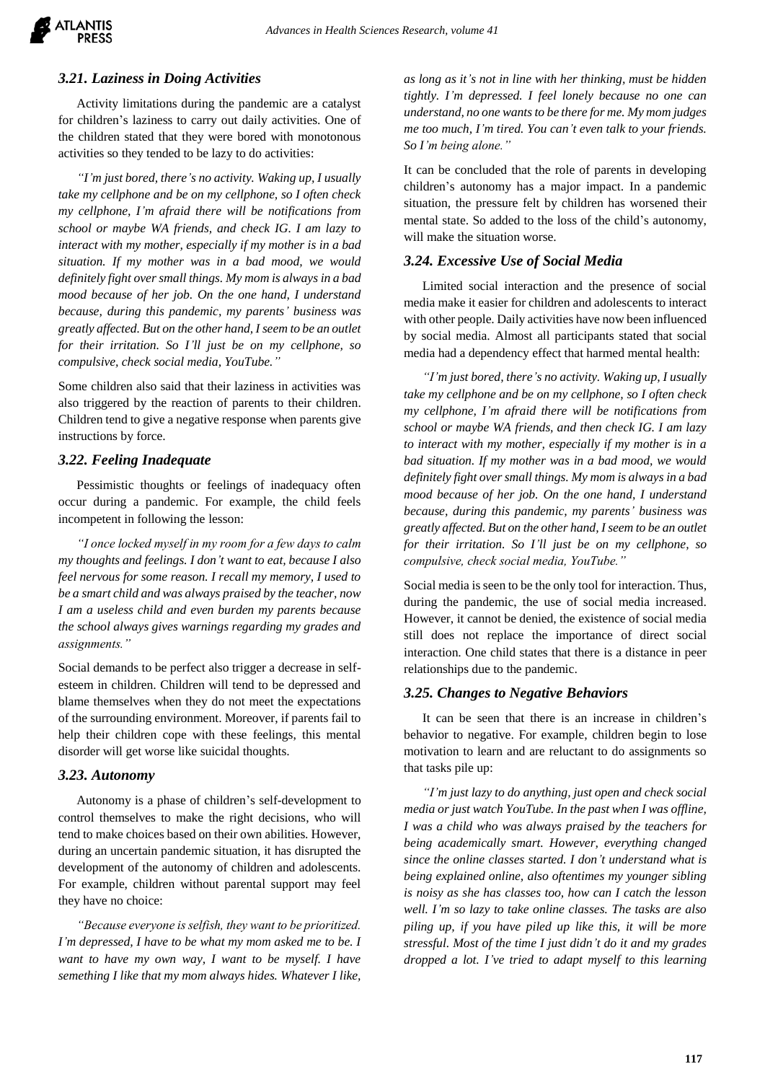# *3.21. Laziness in Doing Activities*

Activity limitations during the pandemic are a catalyst for children's laziness to carry out daily activities. One of the children stated that they were bored with monotonous activities so they tended to be lazy to do activities:

*"I'm just bored, there's no activity. Waking up, I usually take my cellphone and be on my cellphone, so I often check my cellphone, I'm afraid there will be notifications from school or maybe WA friends, and check IG. I am lazy to interact with my mother, especially if my mother is in a bad situation. If my mother was in a bad mood, we would definitely fight over small things. My mom is always in a bad mood because of her job. On the one hand, I understand because, during this pandemic, my parents' business was greatly affected. But on the other hand, I seem to be an outlet for their irritation. So I'll just be on my cellphone, so compulsive, check social media, YouTube."*

Some children also said that their laziness in activities was also triggered by the reaction of parents to their children. Children tend to give a negative response when parents give instructions by force.

## *3.22. Feeling Inadequate*

Pessimistic thoughts or feelings of inadequacy often occur during a pandemic. For example, the child feels incompetent in following the lesson:

*"I once locked myself in my room for a few days to calm my thoughts and feelings. I don't want to eat, because I also feel nervous for some reason. I recall my memory, I used to be a smart child and was always praised by the teacher, now I am a useless child and even burden my parents because the school always gives warnings regarding my grades and assignments."*

Social demands to be perfect also trigger a decrease in selfesteem in children. Children will tend to be depressed and blame themselves when they do not meet the expectations of the surrounding environment. Moreover, if parents fail to help their children cope with these feelings, this mental disorder will get worse like suicidal thoughts.

## *3.23. Autonomy*

Autonomy is a phase of children's self-development to control themselves to make the right decisions, who will tend to make choices based on their own abilities. However, during an uncertain pandemic situation, it has disrupted the development of the autonomy of children and adolescents. For example, children without parental support may feel they have no choice:

*"Because everyone is selfish, they want to be prioritized. I'm depressed, I have to be what my mom asked me to be. I want to have my own way, I want to be myself. I have semething I like that my mom always hides. Whatever I like,* 

*as long as it's not in line with her thinking, must be hidden tightly. I'm depressed. I feel lonely because no one can understand, no one wants to be there for me. My mom judges me too much, I'm tired. You can't even talk to your friends. So I'm being alone."*

It can be concluded that the role of parents in developing children's autonomy has a major impact. In a pandemic situation, the pressure felt by children has worsened their mental state. So added to the loss of the child's autonomy, will make the situation worse.

## *3.24. Excessive Use of Social Media*

Limited social interaction and the presence of social media make it easier for children and adolescents to interact with other people. Daily activities have now been influenced by social media. Almost all participants stated that social media had a dependency effect that harmed mental health:

*"I'm just bored, there's no activity. Waking up, I usually take my cellphone and be on my cellphone, so I often check my cellphone, I'm afraid there will be notifications from school or maybe WA friends, and then check IG. I am lazy to interact with my mother, especially if my mother is in a bad situation. If my mother was in a bad mood, we would definitely fight over small things. My mom is always in a bad mood because of her job. On the one hand, I understand because, during this pandemic, my parents' business was greatly affected. But on the other hand, I seem to be an outlet for their irritation. So I'll just be on my cellphone, so compulsive, check social media, YouTube."*

Social media is seen to be the only tool for interaction. Thus, during the pandemic, the use of social media increased. However, it cannot be denied, the existence of social media still does not replace the importance of direct social interaction. One child states that there is a distance in peer relationships due to the pandemic.

## *3.25. Changes to Negative Behaviors*

It can be seen that there is an increase in children's behavior to negative. For example, children begin to lose motivation to learn and are reluctant to do assignments so that tasks pile up:

*"I'm just lazy to do anything, just open and check social media or just watch YouTube. In the past when I was offline, I was a child who was always praised by the teachers for being academically smart. However, everything changed since the online classes started. I don't understand what is being explained online, also oftentimes my younger sibling is noisy as she has classes too, how can I catch the lesson well. I'm so lazy to take online classes. The tasks are also piling up, if you have piled up like this, it will be more stressful. Most of the time I just didn't do it and my grades dropped a lot. I've tried to adapt myself to this learning*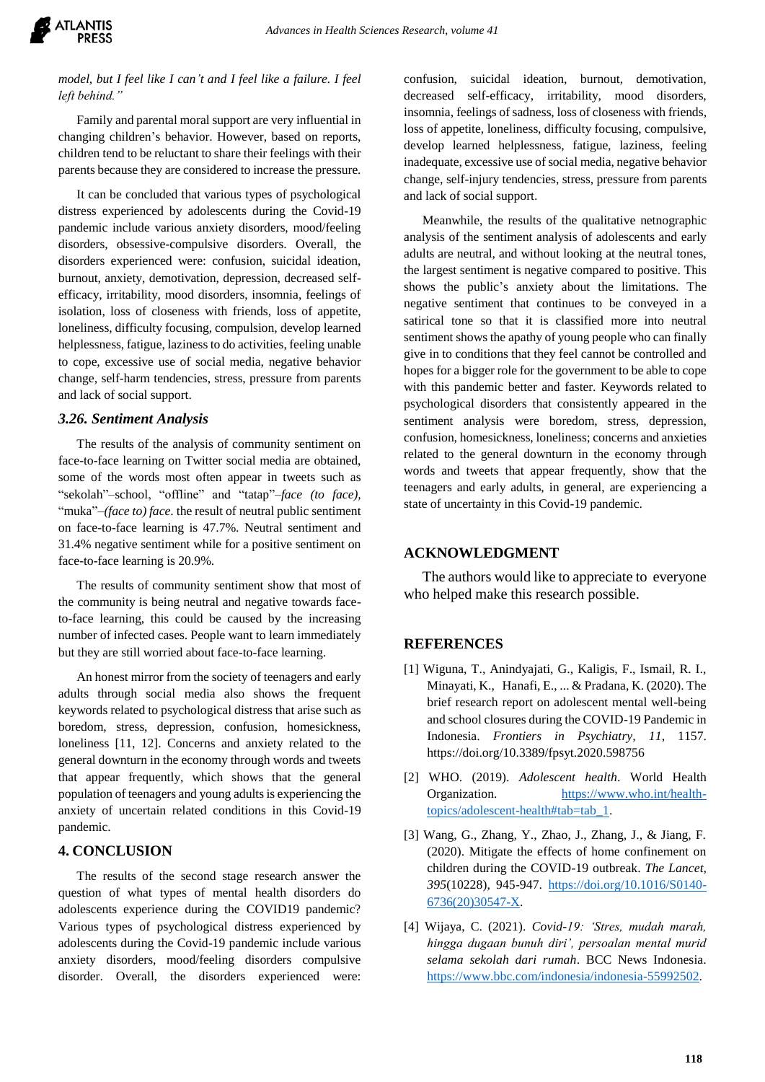

*model, but I feel like I can't and I feel like a failure. I feel left behind."*

Family and parental moral support are very influential in changing children's behavior. However, based on reports, children tend to be reluctant to share their feelings with their parents because they are considered to increase the pressure.

It can be concluded that various types of psychological distress experienced by adolescents during the Covid-19 pandemic include various anxiety disorders, mood/feeling disorders, obsessive-compulsive disorders. Overall, the disorders experienced were: confusion, suicidal ideation, burnout, anxiety, demotivation, depression, decreased selfefficacy, irritability, mood disorders, insomnia, feelings of isolation, loss of closeness with friends, loss of appetite, loneliness, difficulty focusing, compulsion, develop learned helplessness, fatigue, laziness to do activities, feeling unable to cope, excessive use of social media, negative behavior change, self-harm tendencies, stress, pressure from parents and lack of social support.

## *3.26. Sentiment Analysis*

The results of the analysis of community sentiment on face-to-face learning on Twitter social media are obtained, some of the words most often appear in tweets such as "sekolah"–school, "offline" and "tatap"–*face (to face),* "muka"–*(face to) face*. the result of neutral public sentiment on face-to-face learning is 47.7%. Neutral sentiment and 31.4% negative sentiment while for a positive sentiment on face-to-face learning is 20.9%.

The results of community sentiment show that most of the community is being neutral and negative towards faceto-face learning, this could be caused by the increasing number of infected cases. People want to learn immediately but they are still worried about face-to-face learning.

An honest mirror from the society of teenagers and early adults through social media also shows the frequent keywords related to psychological distress that arise such as boredom, stress, depression, confusion, homesickness, loneliness [11, 12]. Concerns and anxiety related to the general downturn in the economy through words and tweets that appear frequently, which shows that the general population of teenagers and young adults is experiencing the anxiety of uncertain related conditions in this Covid-19 pandemic.

#### **4. CONCLUSION**

The results of the second stage research answer the question of what types of mental health disorders do adolescents experience during the COVID19 pandemic? Various types of psychological distress experienced by adolescents during the Covid-19 pandemic include various anxiety disorders, mood/feeling disorders compulsive disorder. Overall, the disorders experienced were: confusion, suicidal ideation, burnout, demotivation, decreased self-efficacy, irritability, mood disorders, insomnia, feelings of sadness, loss of closeness with friends, loss of appetite, loneliness, difficulty focusing, compulsive, develop learned helplessness, fatigue, laziness, feeling inadequate, excessive use of social media, negative behavior change, self-injury tendencies, stress, pressure from parents and lack of social support.

Meanwhile, the results of the qualitative netnographic analysis of the sentiment analysis of adolescents and early adults are neutral, and without looking at the neutral tones, the largest sentiment is negative compared to positive. This shows the public's anxiety about the limitations. The negative sentiment that continues to be conveyed in a satirical tone so that it is classified more into neutral sentiment shows the apathy of young people who can finally give in to conditions that they feel cannot be controlled and hopes for a bigger role for the government to be able to cope with this pandemic better and faster. Keywords related to psychological disorders that consistently appeared in the sentiment analysis were boredom, stress, depression, confusion, homesickness, loneliness; concerns and anxieties related to the general downturn in the economy through words and tweets that appear frequently, show that the teenagers and early adults, in general, are experiencing a state of uncertainty in this Covid-19 pandemic.

#### **ACKNOWLEDGMENT**

The authors would like to appreciate to everyone who helped make this research possible.

## **REFERENCES**

- [1] Wiguna, T., Anindyajati, G., Kaligis, F., Ismail, R. I., Minayati, K., Hanafi, E., ... & Pradana, K. (2020). The brief research report on adolescent mental well-being and school closures during the COVID-19 Pandemic in Indonesia. *Frontiers in Psychiatry, 11*, 1157. https://doi.org/10.3389/fpsyt.2020.598756
- [2] WHO. (2019). *Adolescent health*. World Health Organization. [https://www.who.int/health](https://www.who.int/health-topics/adolescent-health#tab=tab_1)[topics/adolescent-health#tab=tab\\_1.](https://www.who.int/health-topics/adolescent-health#tab=tab_1)
- [3] Wang, G., Zhang, Y., Zhao, J., Zhang, J., & Jiang, F. (2020). Mitigate the effects of home confinement on children during the COVID-19 outbreak. *The Lancet, 395*(10228), 945-947. [https://doi.org/10.1016/S0140-](https://doi.org/10.1016/S0140-6736(20)30547-X) [6736\(20\)30547-X.](https://doi.org/10.1016/S0140-6736(20)30547-X)
- [4] Wijaya, C. (2021). *Covid-19: 'Stres, mudah marah, hingga dugaan bunuh diri', persoalan mental murid selama sekolah dari rumah*. BCC News Indonesia. [https://www.bbc.com/indonesia/indonesia-55992502.](https://www.bbc.com/indonesia/indonesia-55992502)